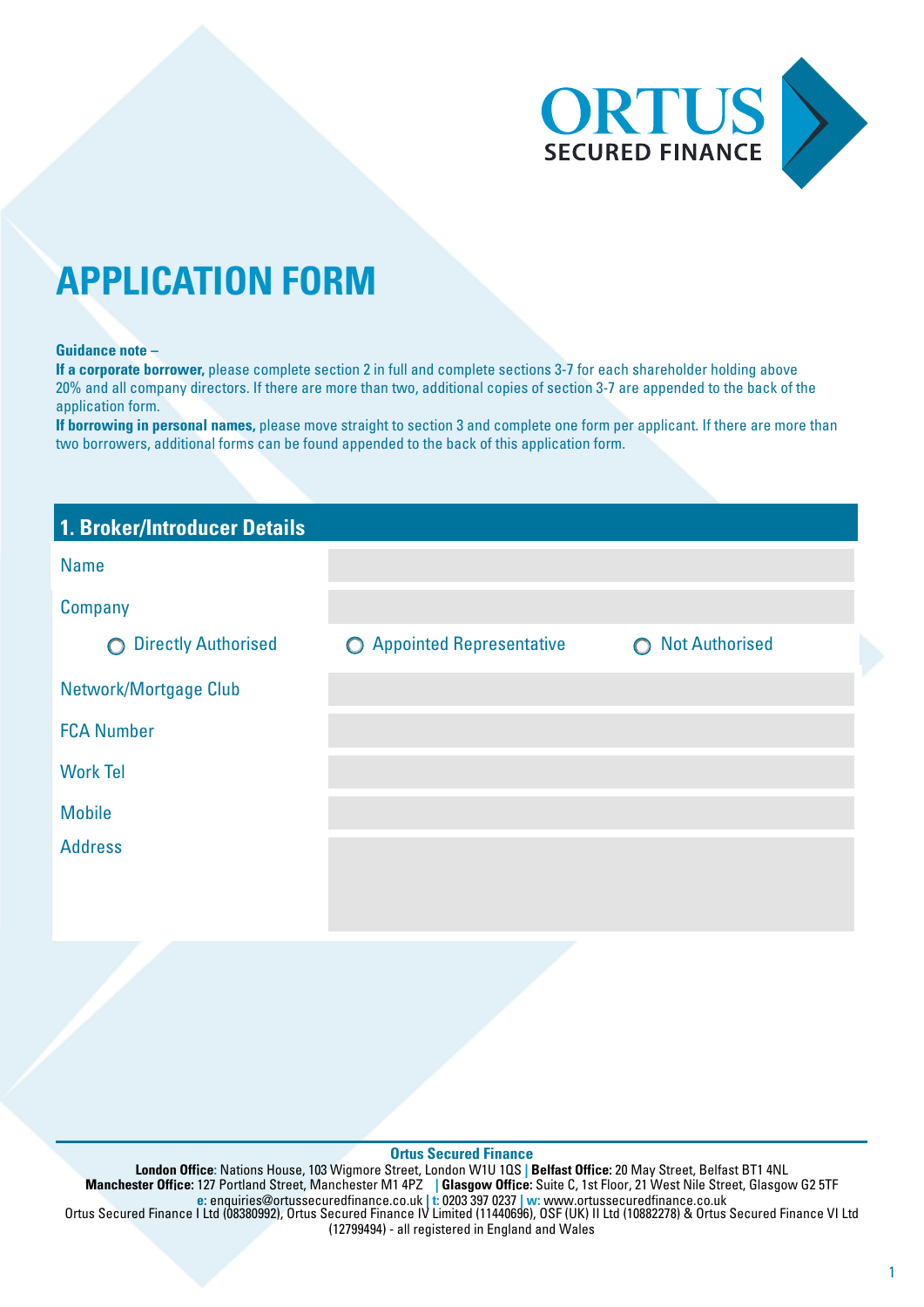

# **APPLICATION FORM**

#### **Guidance note –**

**If a corporate borrower,** please complete section 2 in full and complete sections 3-7 for each shareholder holding above 20% and all company directors. If there are more than two, additional copies of section 3-7 are appended to the back of the application form.

**If borrowing in personal names,** please move straight to section 3 and complete one form per applicant. If there are more than two borrowers, additional forms can be found appended to the back of this application form.

| 1. Broker/Introducer Details             |                            |                                     |
|------------------------------------------|----------------------------|-------------------------------------|
| <b>Name</b>                              |                            |                                     |
| Company                                  |                            |                                     |
| <b>Directly Authorised</b><br>$\bigcirc$ | O Appointed Representative | <b>Not Authorised</b><br>$\bigcirc$ |
| Network/Mortgage Club                    |                            |                                     |
| <b>FCA Number</b>                        |                            |                                     |
| <b>Work Tel</b>                          |                            |                                     |
| <b>Mobile</b>                            |                            |                                     |
| <b>Address</b>                           |                            |                                     |
|                                          |                            |                                     |

#### **Ortus Secured Finance**

**London Off**i**ce:** Nations House, 103 Wigmore Street, London W1U 1QS **| Belfast Off**i**ce:** 20 May Street, Belfast BT1 4NL **Manchester Off**i**ce:** 127 Portland Street, Manchester M1 4PZ **| Glasgow Off**i**ce:** Suite C, 1st Floor, 21 West Nile Street, Glasgow G2 5TF **e:** enquiries@ortussecuredfinance.co.uk **| t:** 0203 397 0237 **| w:** www.ortussecuredfinance.co.uk Ortus Secured Finance I Ltd (08380992), Ortus Secured Finance IV Limited (11440696), OSF (UK) II Ltd (10882278) & Ortus Secured Finance VI Ltd (12799494) - all registered in England and Wales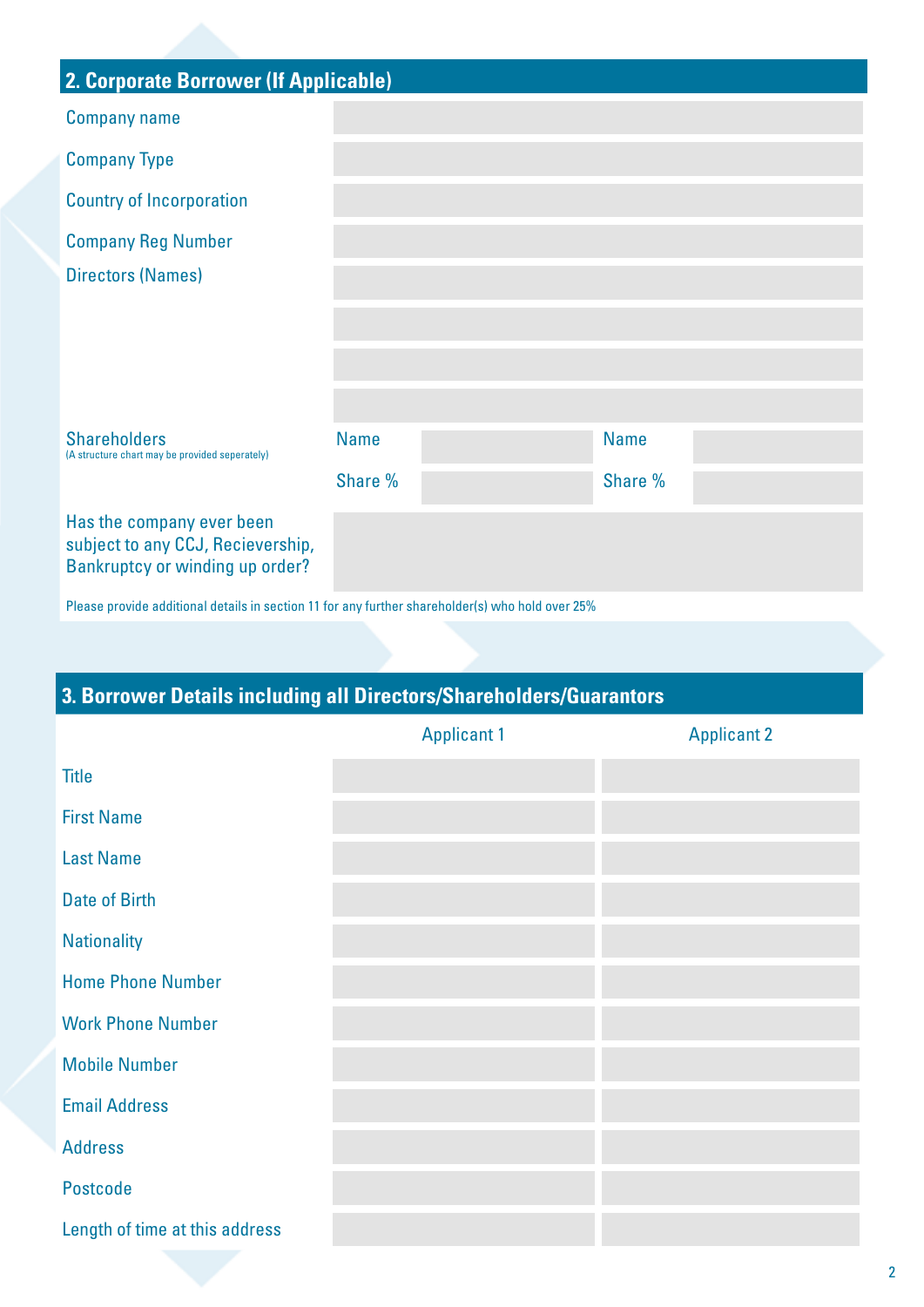| 2. Corporate Borrower (If Applicable)                                                             |             |             |  |
|---------------------------------------------------------------------------------------------------|-------------|-------------|--|
| <b>Company name</b>                                                                               |             |             |  |
| <b>Company Type</b>                                                                               |             |             |  |
| <b>Country of Incorporation</b>                                                                   |             |             |  |
| <b>Company Reg Number</b>                                                                         |             |             |  |
| <b>Directors (Names)</b>                                                                          |             |             |  |
|                                                                                                   |             |             |  |
|                                                                                                   |             |             |  |
|                                                                                                   |             |             |  |
| <b>Shareholders</b><br>(A structure chart may be provided seperately)                             | <b>Name</b> | <b>Name</b> |  |
|                                                                                                   | Share %     | Share %     |  |
| Has the company ever been<br>subject to any CCJ, Recievership,<br>Bankruptcy or winding up order? |             |             |  |

Please provide additional details in section 11 for any further shareholder(s) who hold over 25%

## **3. Borrower Details including all Directors/Shareholders/Guarantors**

|                                | <b>Applicant 1</b> | <b>Applicant 2</b> |
|--------------------------------|--------------------|--------------------|
| <b>Title</b>                   |                    |                    |
| <b>First Name</b>              |                    |                    |
| <b>Last Name</b>               |                    |                    |
| <b>Date of Birth</b>           |                    |                    |
| <b>Nationality</b>             |                    |                    |
| <b>Home Phone Number</b>       |                    |                    |
| <b>Work Phone Number</b>       |                    |                    |
| <b>Mobile Number</b>           |                    |                    |
| <b>Email Address</b>           |                    |                    |
| <b>Address</b>                 |                    |                    |
| <b>Postcode</b>                |                    |                    |
| Length of time at this address |                    |                    |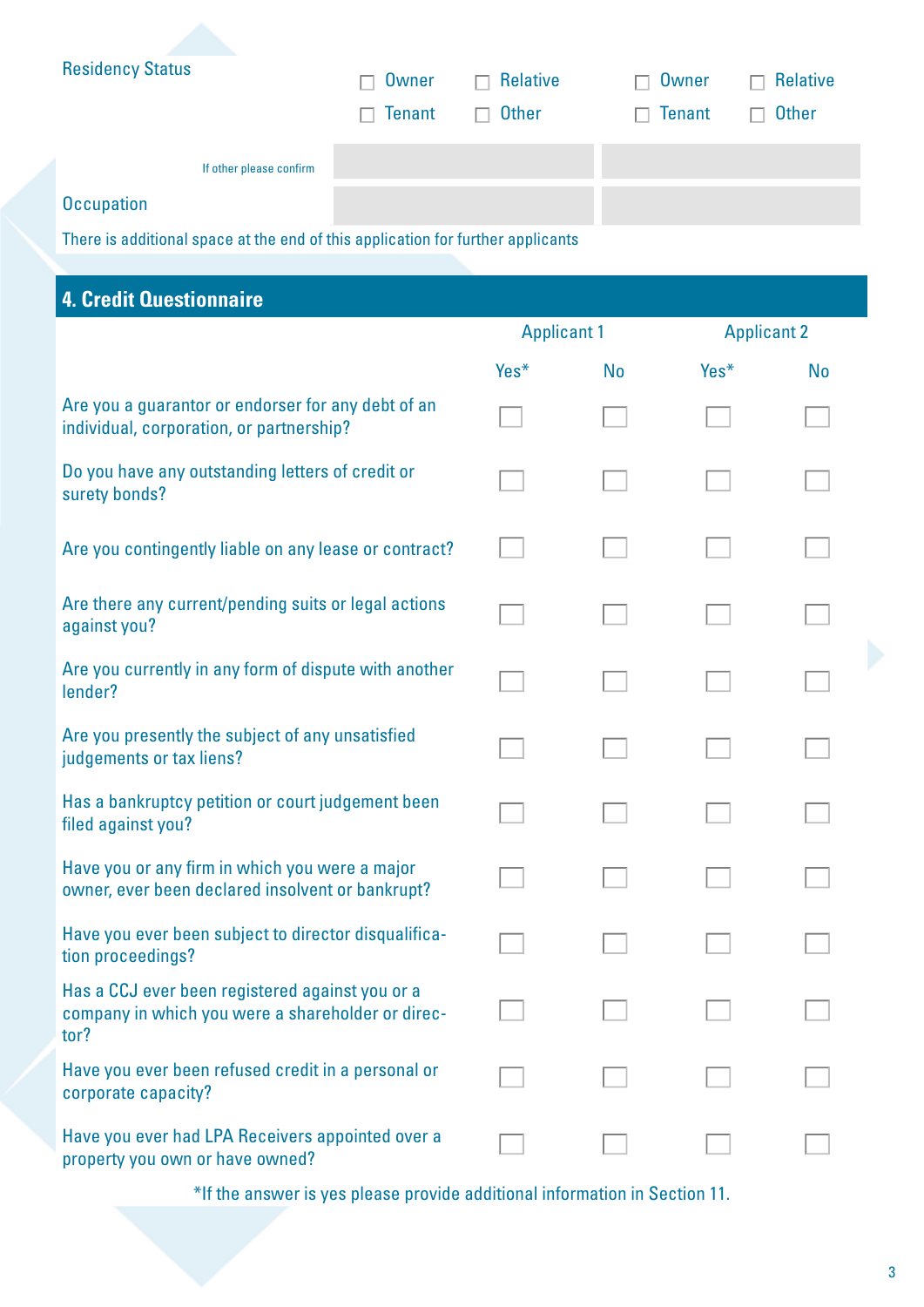| <b>Residency Status</b> |               |                 |                         |               |
|-------------------------|---------------|-----------------|-------------------------|---------------|
|                         | $\Box$ Owner  | $\Box$ Relative | $\Box$ Owner            | Relative<br>п |
|                         | $\Box$ Tenant | $\Box$ Other    | <b>Tenant</b><br>$\Box$ | Other<br>П.   |
| If other please confirm |               |                 |                         |               |
| <b>Occupation</b>       |               |                 |                         |               |

There is additional space at the end of this application for further applicants

## **4. Credit Questionnaire**

|                                                                                                              | <b>Applicant 1</b> |           | <b>Applicant 2</b> |           |
|--------------------------------------------------------------------------------------------------------------|--------------------|-----------|--------------------|-----------|
|                                                                                                              | Yes*               | <b>No</b> | Yes*               | <b>No</b> |
| Are you a guarantor or endorser for any debt of an<br>individual, corporation, or partnership?               |                    |           |                    |           |
| Do you have any outstanding letters of credit or<br>surety bonds?                                            |                    |           |                    |           |
| Are you contingently liable on any lease or contract?                                                        |                    |           |                    |           |
| Are there any current/pending suits or legal actions<br>against you?                                         |                    |           |                    |           |
| Are you currently in any form of dispute with another<br>lender?                                             |                    |           |                    |           |
| Are you presently the subject of any unsatisfied<br>judgements or tax liens?                                 |                    |           |                    |           |
| Has a bankruptcy petition or court judgement been<br>filed against you?                                      |                    |           |                    |           |
| Have you or any firm in which you were a major<br>owner, ever been declared insolvent or bankrupt?           |                    |           |                    |           |
| Have you ever been subject to director disqualifica-<br>tion proceedings?                                    |                    |           |                    |           |
| Has a CCJ ever been registered against you or a<br>company in which you were a shareholder or direc-<br>tor? |                    |           |                    |           |
| Have you ever been refused credit in a personal or<br>corporate capacity?                                    |                    |           |                    |           |
| Have you ever had LPA Receivers appointed over a<br>property you own or have owned?                          |                    |           |                    |           |

\*If the answer is yes please provide additional information in Section 11.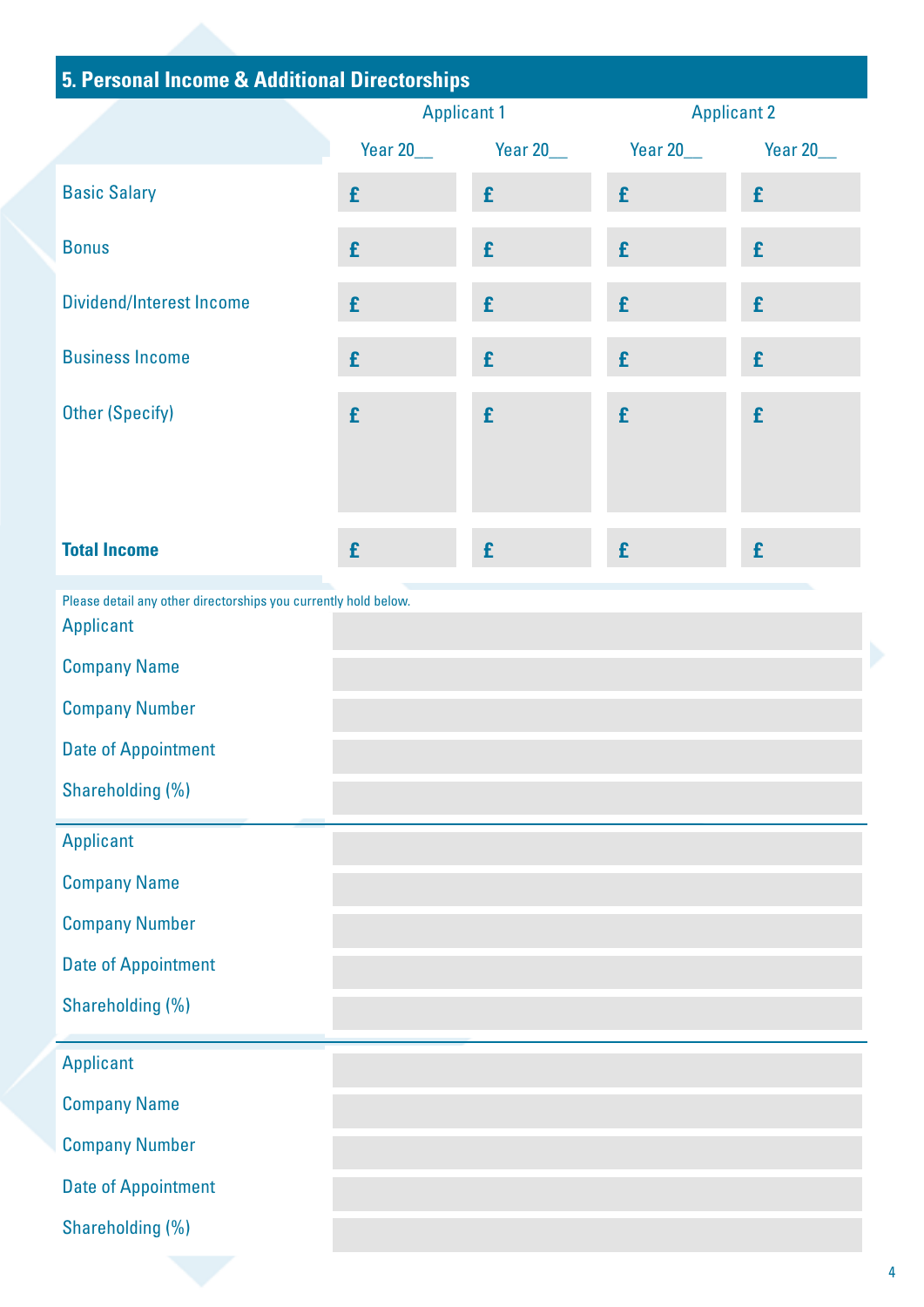| 5. Personal Income & Additional Directorships                                       |                    |                   |                    |                  |
|-------------------------------------------------------------------------------------|--------------------|-------------------|--------------------|------------------|
|                                                                                     | <b>Applicant 1</b> |                   | <b>Applicant 2</b> |                  |
|                                                                                     | <b>Year 20___</b>  | <b>Year 20___</b> | Year 20___         | <b>Year 20__</b> |
| <b>Basic Salary</b>                                                                 | £                  | £                 | £                  | £                |
| <b>Bonus</b>                                                                        | £                  | £                 | £                  | £                |
| <b>Dividend/Interest Income</b>                                                     | £                  | £                 | £                  | £                |
| <b>Business Income</b>                                                              | £                  | £                 | £                  | £                |
| <b>Other (Specify)</b>                                                              | £                  | £                 | £                  | £                |
|                                                                                     |                    |                   |                    |                  |
|                                                                                     |                    |                   |                    |                  |
| <b>Total Income</b>                                                                 | £                  | £                 | £                  | £                |
| Please detail any other directorships you currently hold below.<br><b>Applicant</b> |                    |                   |                    |                  |
| <b>Company Name</b>                                                                 |                    |                   |                    |                  |
| <b>Company Number</b>                                                               |                    |                   |                    |                  |
| <b>Date of Appointment</b>                                                          |                    |                   |                    |                  |
| Shareholding (%)                                                                    |                    |                   |                    |                  |
| <b>Applicant</b>                                                                    |                    |                   |                    |                  |
| <b>Company Name</b>                                                                 |                    |                   |                    |                  |
| <b>Company Number</b>                                                               |                    |                   |                    |                  |
| <b>Date of Appointment</b>                                                          |                    |                   |                    |                  |
| Shareholding (%)                                                                    |                    |                   |                    |                  |
| <b>Applicant</b>                                                                    |                    |                   |                    |                  |
| <b>Company Name</b>                                                                 |                    |                   |                    |                  |
| <b>Company Number</b>                                                               |                    |                   |                    |                  |
| <b>Date of Appointment</b>                                                          |                    |                   |                    |                  |
| Shareholding (%)                                                                    |                    |                   |                    |                  |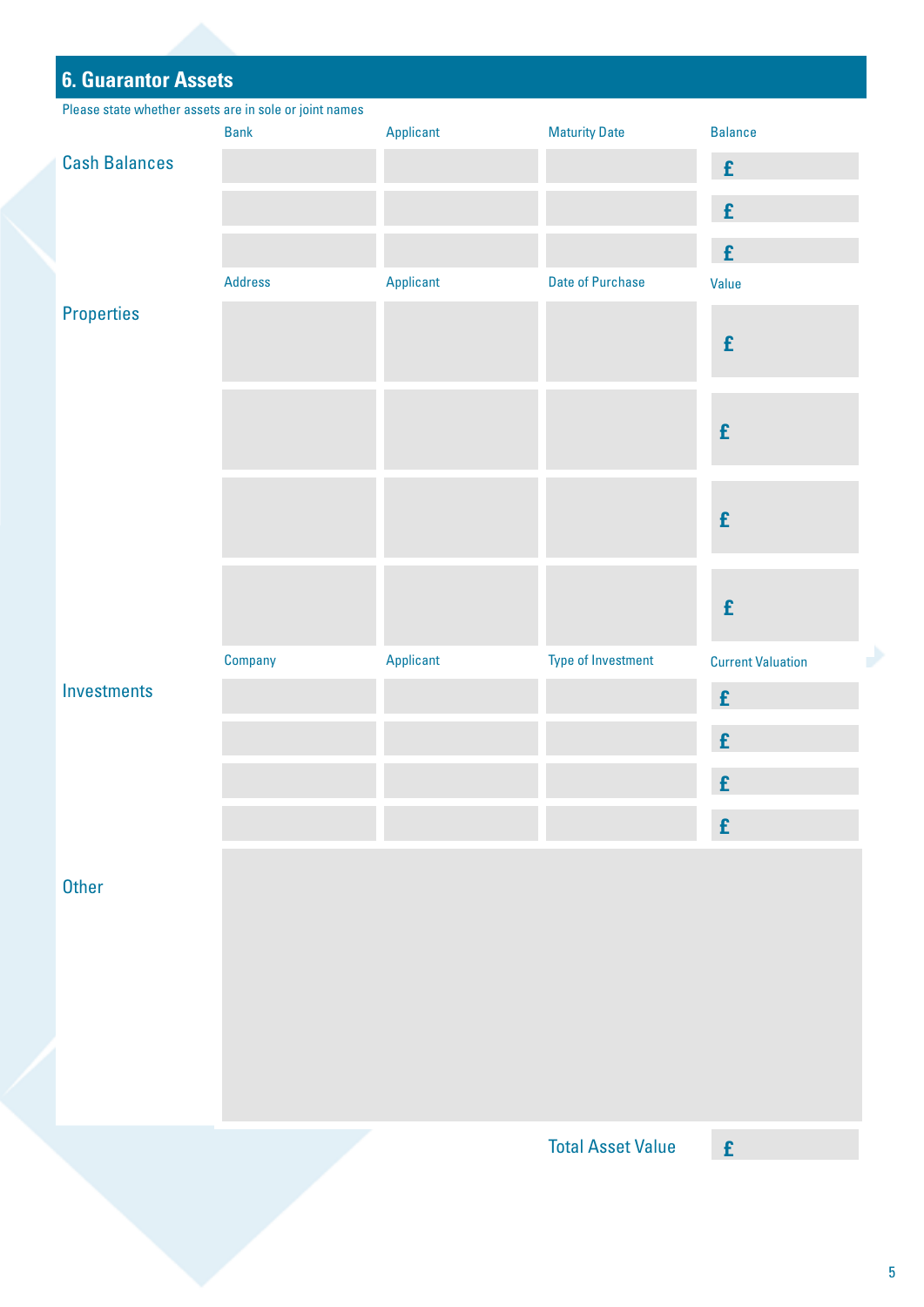| <b>6. Guarantor Assets</b>                             |                |           |                          |                          |
|--------------------------------------------------------|----------------|-----------|--------------------------|--------------------------|
| Please state whether assets are in sole or joint names |                |           |                          |                          |
|                                                        | <b>Bank</b>    | Applicant | <b>Maturity Date</b>     | <b>Balance</b>           |
| <b>Cash Balances</b>                                   |                |           |                          | $\pmb{\mathrm{f}}$       |
|                                                        |                |           |                          | $\pmb{\mathrm{f}}$       |
|                                                        |                |           |                          | ${\bf f}$                |
|                                                        | <b>Address</b> | Applicant | <b>Date of Purchase</b>  | Value                    |
| <b>Properties</b>                                      |                |           |                          | £                        |
|                                                        |                |           |                          | £                        |
|                                                        |                |           |                          | £                        |
|                                                        |                |           |                          | £                        |
|                                                        | Company        | Applicant | Type of Investment       | <b>Current Valuation</b> |
| Investments                                            |                |           |                          | £                        |
|                                                        |                |           |                          | £                        |
|                                                        |                |           |                          | £                        |
|                                                        |                |           |                          | $\pmb{\mathrm{f}}$       |
| <b>Other</b>                                           |                |           |                          |                          |
|                                                        |                |           | <b>Total Asset Value</b> | $\mathbf f$              |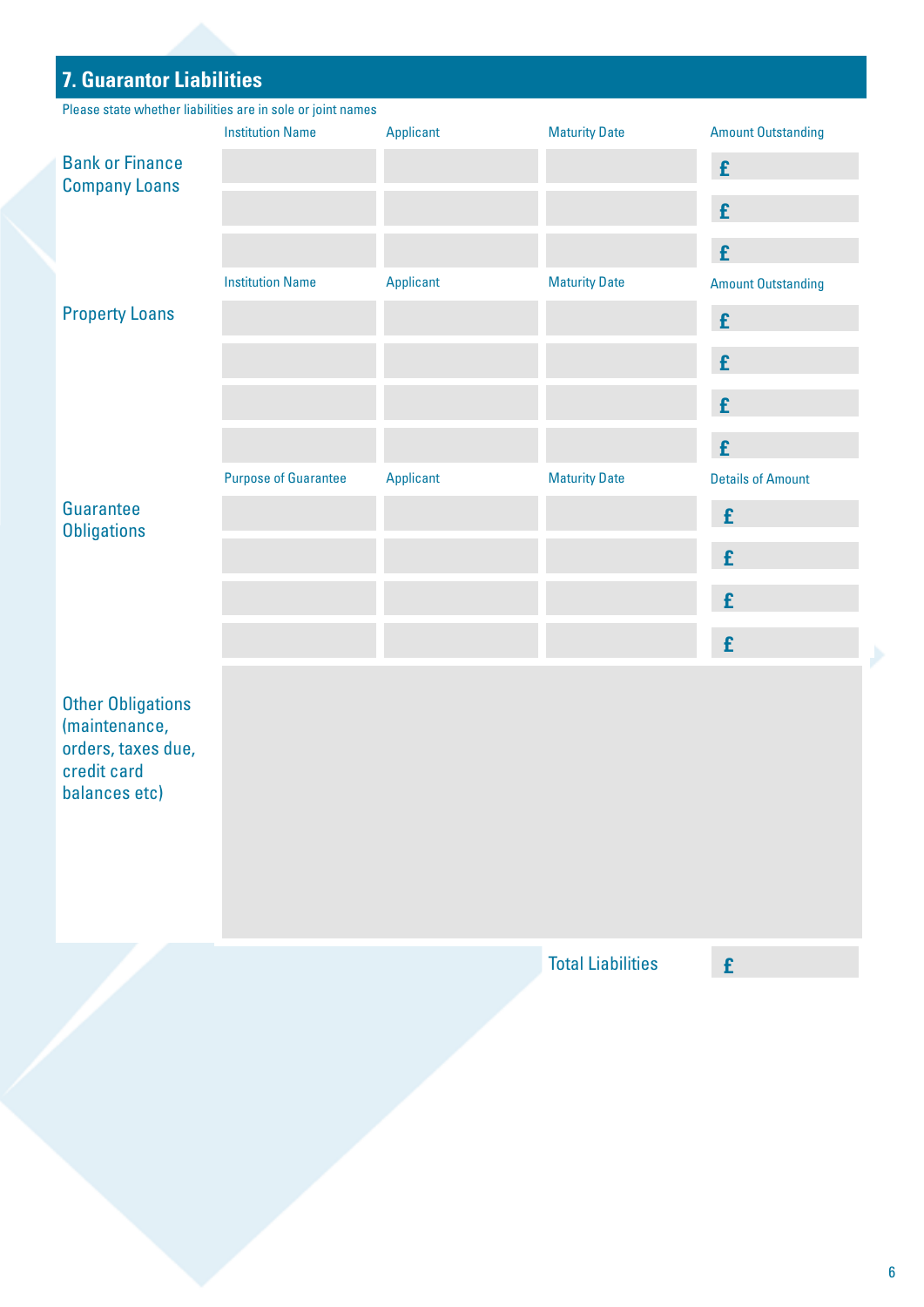### **7. Guarantor Liabilities**

Please state whether liabilities are in sole or joint names

|                                 | <b>Institution Name</b>     | Applicant | <b>Maturity Date</b> | <b>Amount Outstanding</b> |
|---------------------------------|-----------------------------|-----------|----------------------|---------------------------|
| <b>Bank or Finance</b>          |                             |           |                      | £                         |
| <b>Company Loans</b>            |                             |           |                      | £                         |
|                                 |                             |           |                      | £                         |
|                                 | <b>Institution Name</b>     | Applicant | <b>Maturity Date</b> | <b>Amount Outstanding</b> |
| <b>Property Loans</b>           |                             |           |                      | £                         |
|                                 |                             |           |                      | £                         |
|                                 |                             |           |                      | £                         |
|                                 |                             |           |                      | £                         |
|                                 | <b>Purpose of Guarantee</b> | Applicant | <b>Maturity Date</b> | <b>Details of Amount</b>  |
| Guarantee<br><b>Obligations</b> |                             |           |                      | £                         |
|                                 |                             |           |                      | £                         |
|                                 |                             |           |                      | £                         |
|                                 |                             |           |                      | £                         |

Other Obligations (maintenance, orders, taxes due, credit card balances etc)

Total Liabilities **£**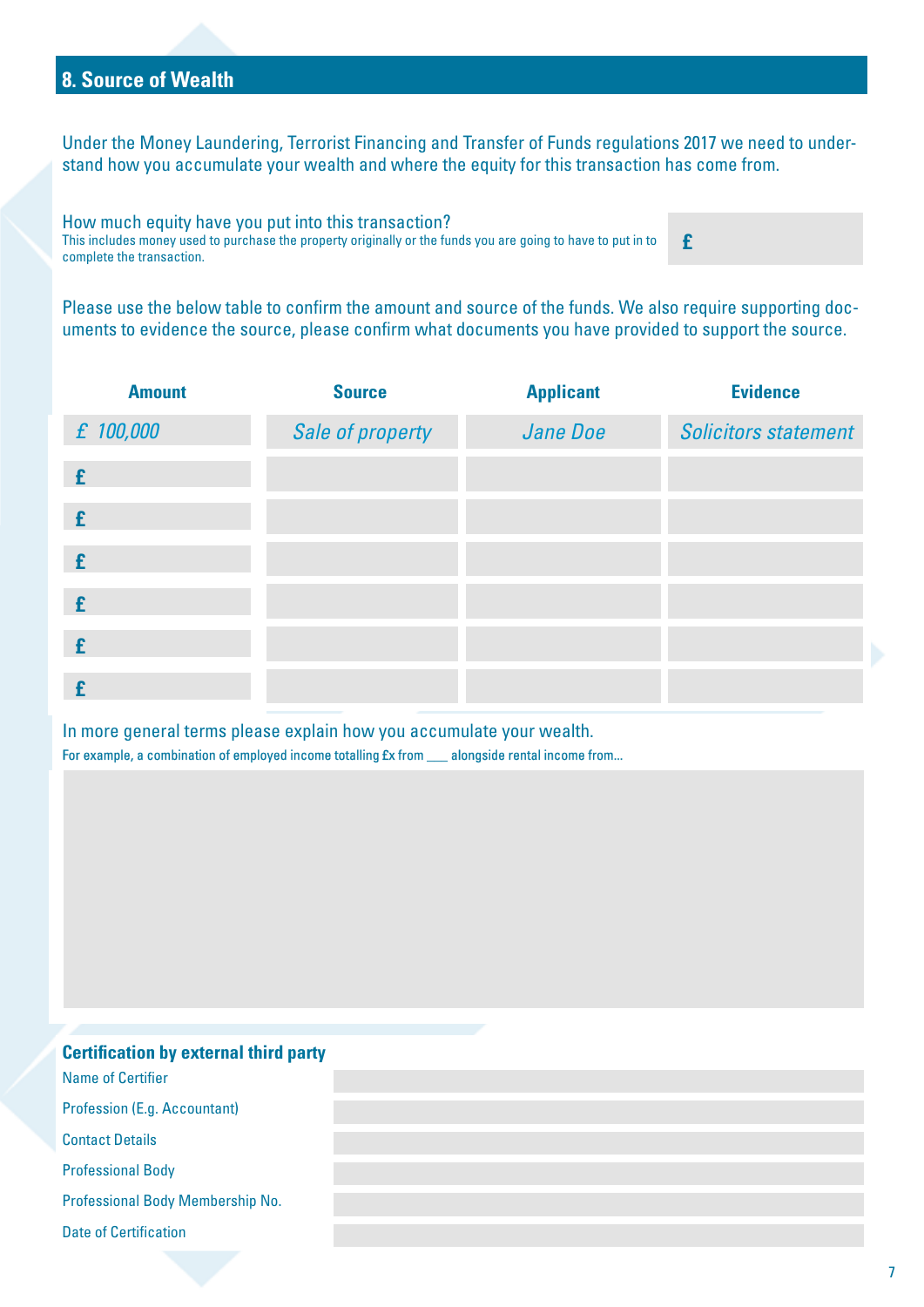### **8. Source of Wealth**

Under the Money Laundering, Terrorist Financing and Transfer of Funds regulations 2017 we need to understand how you accumulate your wealth and where the equity for this transaction has come from.

How much equity have you put into this transaction? This includes money used to purchase the property originally or the funds you are going to have to put in to complete the transaction. **£**

Please use the below table to confirm the amount and source of the funds. We also require supporting documents to evidence the source, please confirm what documents you have provided to support the source.

| <b>Amount</b> | <b>Source</b>    | <b>Applicant</b> | <b>Evidence</b>             |
|---------------|------------------|------------------|-----------------------------|
| £ 100,000     | Sale of property | Jane Doe         | <b>Solicitors statement</b> |
| £             |                  |                  |                             |
| £             |                  |                  |                             |
| £             |                  |                  |                             |
| £             |                  |                  |                             |
| £             |                  |                  |                             |
|               |                  |                  |                             |

In more general terms please explain how you accumulate your wealth. For example, a combination of employed income totalling £x from \_\_\_ alongside rental income from...

| <b>Certification by external third party</b> |  |
|----------------------------------------------|--|
| Name of Certifier                            |  |
| <b>Profession (E.g. Accountant)</b>          |  |
| <b>Contact Details</b>                       |  |
| <b>Professional Body</b>                     |  |
| Professional Body Membership No.             |  |
| <b>Date of Certification</b>                 |  |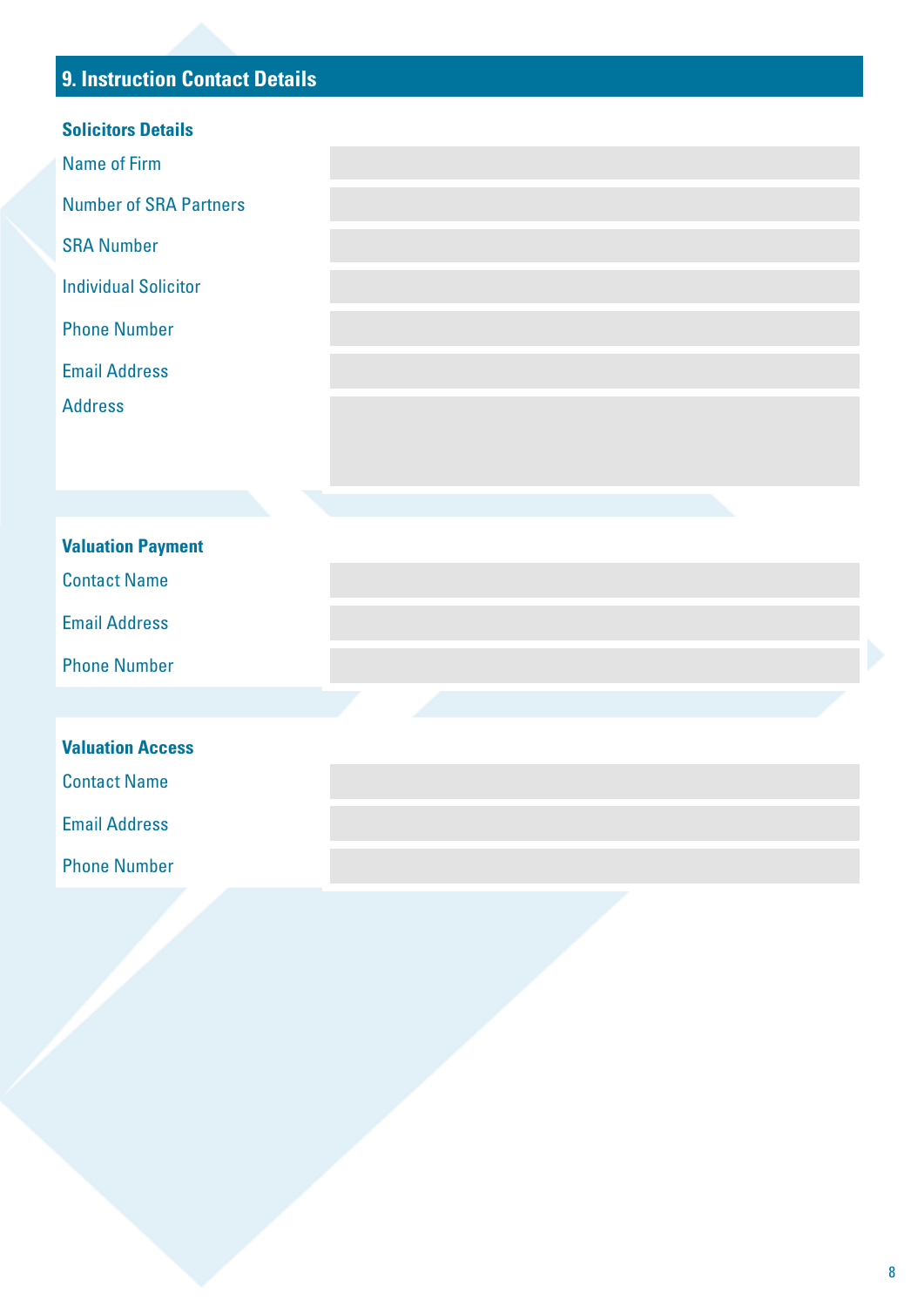## **9. Instruction Contact Details**

| <b>Solicitors Details</b>     |  |
|-------------------------------|--|
| <b>Name of Firm</b>           |  |
| <b>Number of SRA Partners</b> |  |
| <b>SRA Number</b>             |  |
| <b>Individual Solicitor</b>   |  |
| <b>Phone Number</b>           |  |
| <b>Email Address</b>          |  |
| <b>Address</b>                |  |
|                               |  |
|                               |  |
|                               |  |
| <b>Valuation Payment</b>      |  |
| <b>Contact Name</b>           |  |
| <b>Email Address</b>          |  |
| <b>Phone Number</b>           |  |
|                               |  |
| <b>Valuation Access</b>       |  |
| <b>Contact Name</b>           |  |
| <b>Email Address</b>          |  |
| <b>Phone Number</b>           |  |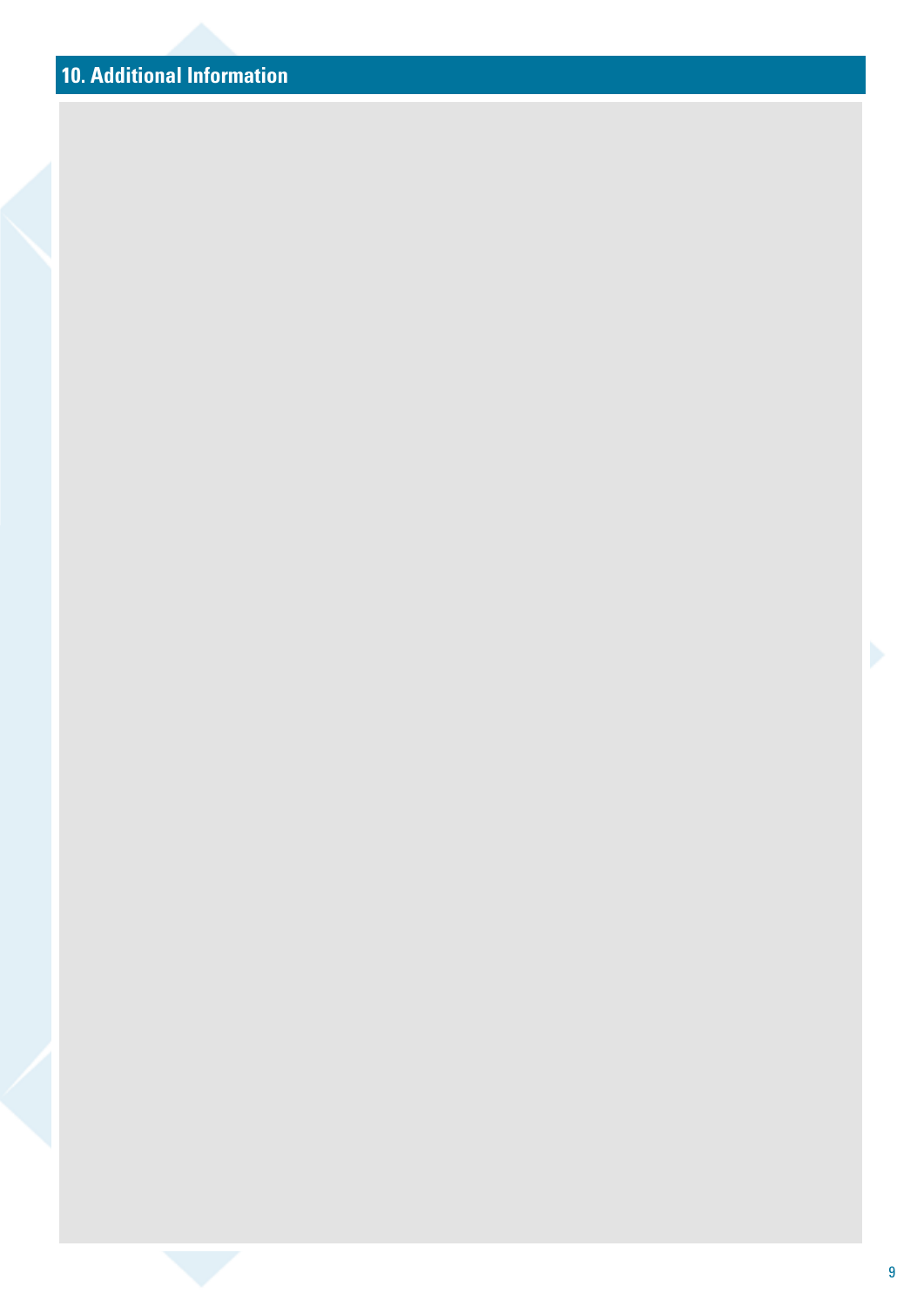## **10. Additional Information**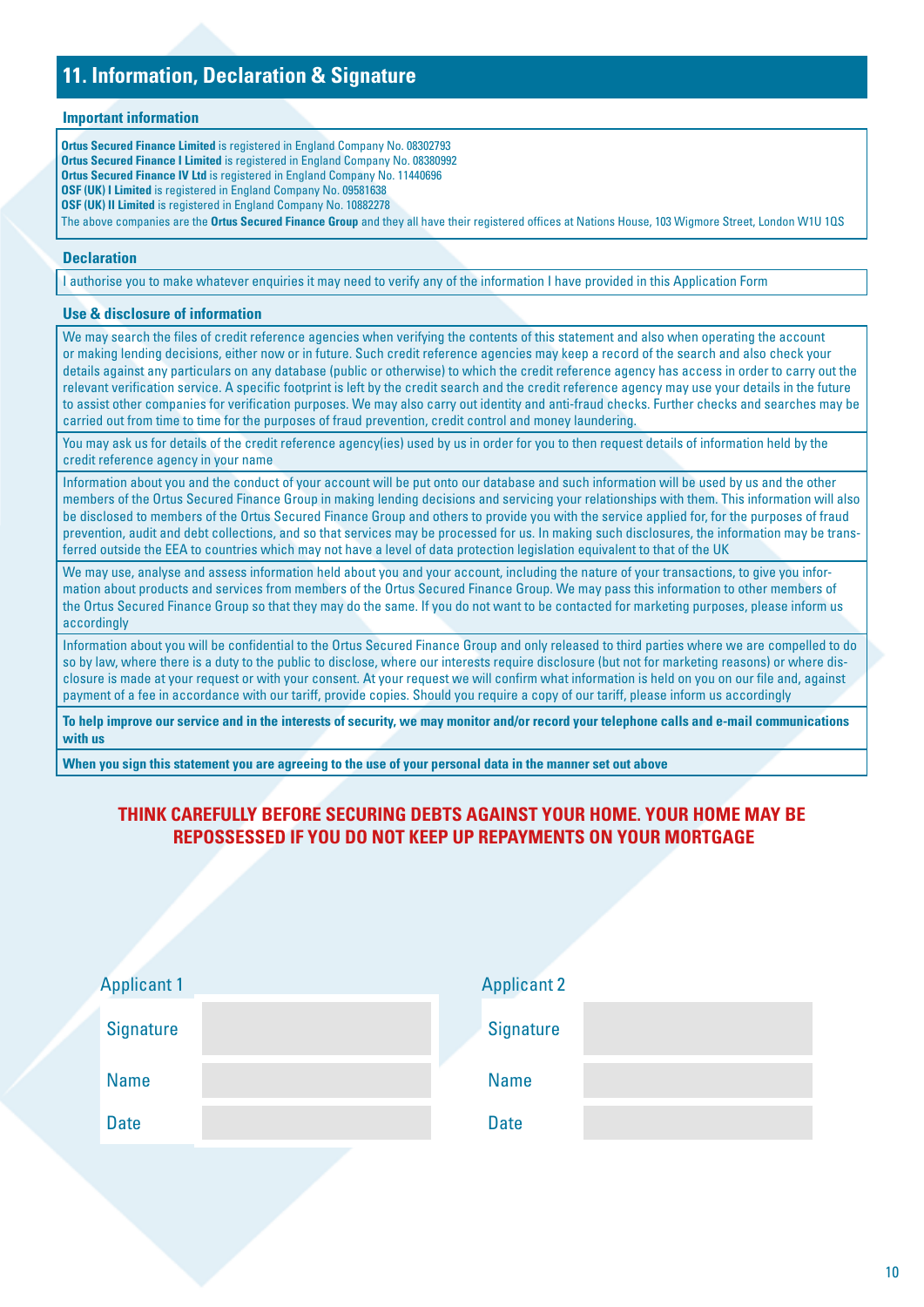### **11. Information, Declaration & Signature**

#### **Important information**

**Ortus Secured Finance Limited** is registered in England Company No. 08302793 **Ortus Secured Finance I Limited** is registered in England Company No. 08380992 **Ortus Secured Finance IV Ltd** is registered in England Company No. 11440696 **OSF (UK) I Limited** is registered in England Company No. 09581638 **OSF (UK) II Limited** is registered in England Company No. 10882278 The above companies are the **Ortus Secured Finance Group** and they all have their registered offices at Nations House, 103 Wigmore Street, London W1U 1QS

#### **Declaration**

I authorise you to make whatever enquiries it may need to verify any of the information I have provided in this Application Form

#### **Use & disclosure of information**

We may search the files of credit reference agencies when verifying the contents of this statement and also when operating the account or making lending decisions, either now or in future. Such credit reference agencies may keep a record of the search and also check your details against any particulars on any database (public or otherwise) to which the credit reference agency has access in order to carry out the relevant verification service. A specific footprint is left by the credit search and the credit reference agency may use your details in the future to assist other companies for verification purposes. We may also carry out identity and anti-fraud checks. Further checks and searches may be carried out from time to time for the purposes of fraud prevention, credit control and money laundering.

You may ask us for details of the credit reference agency(ies) used by us in order for you to then request details of information held by the credit reference agency in your name

Information about you and the conduct of your account will be put onto our database and such information will be used by us and the other members of the Ortus Secured Finance Group in making lending decisions and servicing your relationships with them. This information will also be disclosed to members of the Ortus Secured Finance Group and others to provide you with the service applied for, for the purposes of fraud prevention, audit and debt collections, and so that services may be processed for us. In making such disclosures, the information may be transferred outside the EEA to countries which may not have a level of data protection legislation equivalent to that of the UK

We may use, analyse and assess information held about you and your account, including the nature of your transactions, to give you information about products and services from members of the Ortus Secured Finance Group. We may pass this information to other members of the Ortus Secured Finance Group so that they may do the same. If you do not want to be contacted for marketing purposes, please inform us accordingly

Information about you will be confidential to the Ortus Secured Finance Group and only released to third parties where we are compelled to do so by law, where there is a duty to the public to disclose, where our interests require disclosure (but not for marketing reasons) or where disclosure is made at your request or with your consent. At your request we will confirm what information is held on you on our file and, against payment of a fee in accordance with our tariff, provide copies. Should you require a copy of our tariff, please inform us accordingly

**To help improve our service and in the interests of security, we may monitor and/or record your telephone calls and e-mail communications with us**

**When you sign this statement you are agreeing to the use of your personal data in the manner set out above**

### **THINK CAREFULLY BEFORE SECURING DEBTS AGAINST YOUR HOME. YOUR HOME MAY BE REPOSSESSED IF YOU DO NOT KEEP UP REPAYMENTS ON YOUR MORTGAGE**

| <b>Applicant 1</b> | <b>Applicant 2</b> |
|--------------------|--------------------|
| <b>Signature</b>   | <b>Signature</b>   |
| <b>Name</b>        | <b>Name</b>        |
| <b>Date</b>        | <b>Date</b>        |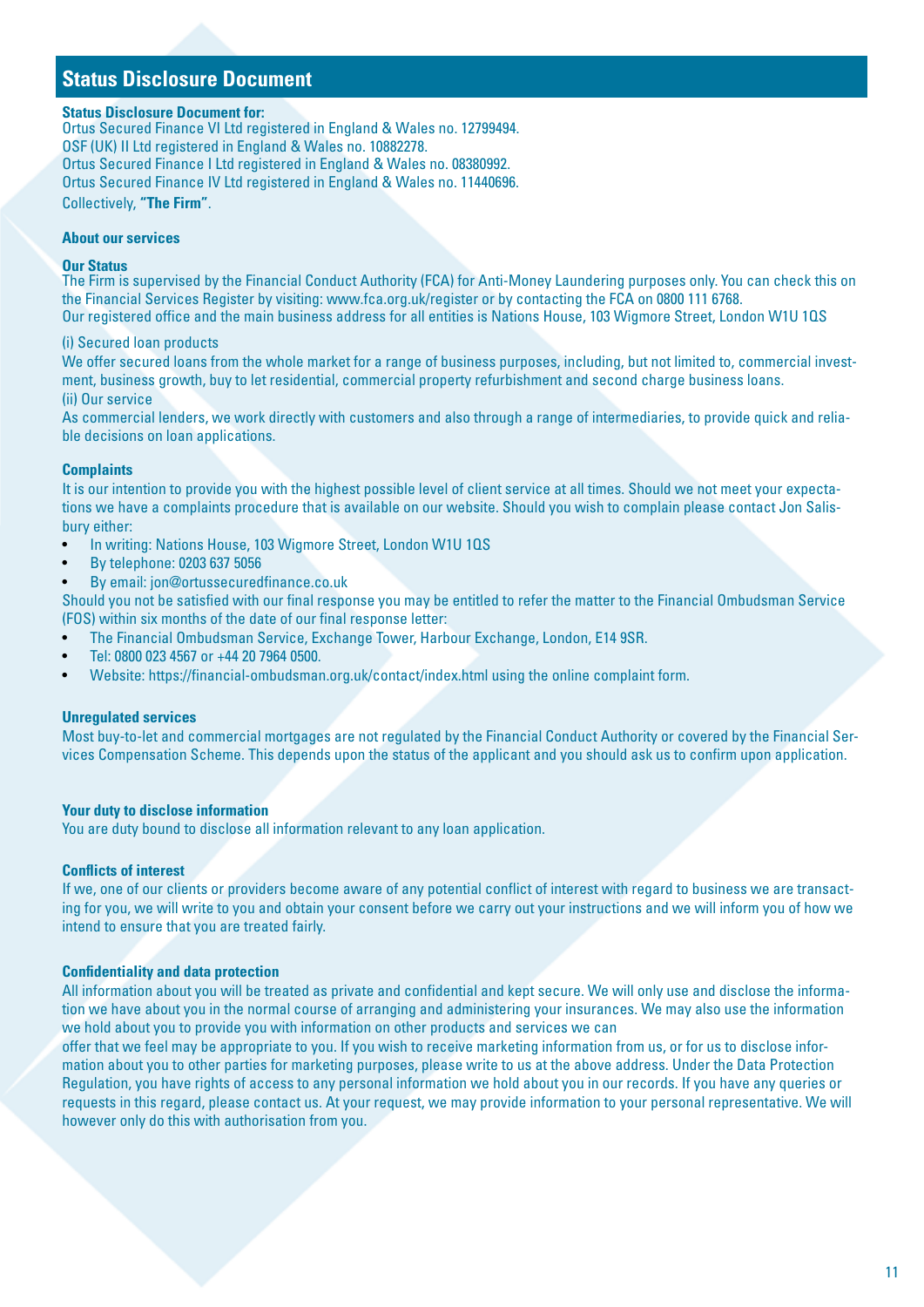### **Status Disclosure Document**

#### **Status Disclosure Document for:**

Ortus Secured Finance VI Ltd registered in England & Wales no. 12799494. OSF (UK) II Ltd registered in England & Wales no. 10882278. Ortus Secured Finance I Ltd registered in England & Wales no. 08380992. Ortus Secured Finance IV Ltd registered in England & Wales no. 11440696. Collectively, **"The Firm"**.

### **About our services**

#### **Our Status**

The Firm is supervised by the Financial Conduct Authority (FCA) for Anti-Money Laundering purposes only. You can check this on the Financial Services Register by visiting: www.fca.org.uk/register or by contacting the FCA on 0800 111 6768. Our registered office and the main business address for all entities is Nations House, 103 Wigmore Street, London W1U 1QS

#### (i) Secured loan products

We offer secured loans from the whole market for a range of business purposes, including, but not limited to, commercial investment, business growth, buy to let residential, commercial property refurbishment and second charge business loans. (ii) Our service

As commercial lenders, we work directly with customers and also through a range of intermediaries, to provide quick and reliable decisions on loan applications.

#### **Complaints**

It is our intention to provide you with the highest possible level of client service at all times. Should we not meet your expectations we have a complaints procedure that is available on our website. Should you wish to complain please contact Jon Salisbury either:

- In writing: Nations House, 103 Wigmore Street, London W1U 1QS
- By telephone: 0203 637 5056
- By email: jon@ortussecuredfinance.co.uk

Should you not be satisfied with our final response you may be entitled to refer the matter to the Financial Ombudsman Service (FOS) within six months of the date of our final response letter:

- The Financial Ombudsman Service, Exchange Tower, Harbour Exchange, London, E14 9SR.
- Tel: 0800 023 4567 or +44 20 7964 0500.
- Website: https://financial-ombudsman.org.uk/contact/index.html using the online complaint form.

#### **Unregulated services**

Most buy-to-let and commercial mortgages are not regulated by the Financial Conduct Authority or covered by the Financial Services Compensation Scheme. This depends upon the status of the applicant and you should ask us to confirm upon application.

#### **Your duty to disclose information**

You are duty bound to disclose all information relevant to any loan application.

#### **Conflicts of interest**

If we, one of our clients or providers become aware of any potential conflict of interest with regard to business we are transacting for you, we will write to you and obtain your consent before we carry out your instructions and we will inform you of how we intend to ensure that you are treated fairly.

#### **Confidentiality and data protection**

All information about you will be treated as private and confidential and kept secure. We will only use and disclose the information we have about you in the normal course of arranging and administering your insurances. We may also use the information we hold about you to provide you with information on other products and services we can

offer that we feel may be appropriate to you. If you wish to receive marketing information from us, or for us to disclose information about you to other parties for marketing purposes, please write to us at the above address. Under the Data Protection Regulation, you have rights of access to any personal information we hold about you in our records. If you have any queries or requests in this regard, please contact us. At your request, we may provide information to your personal representative. We will however only do this with authorisation from you.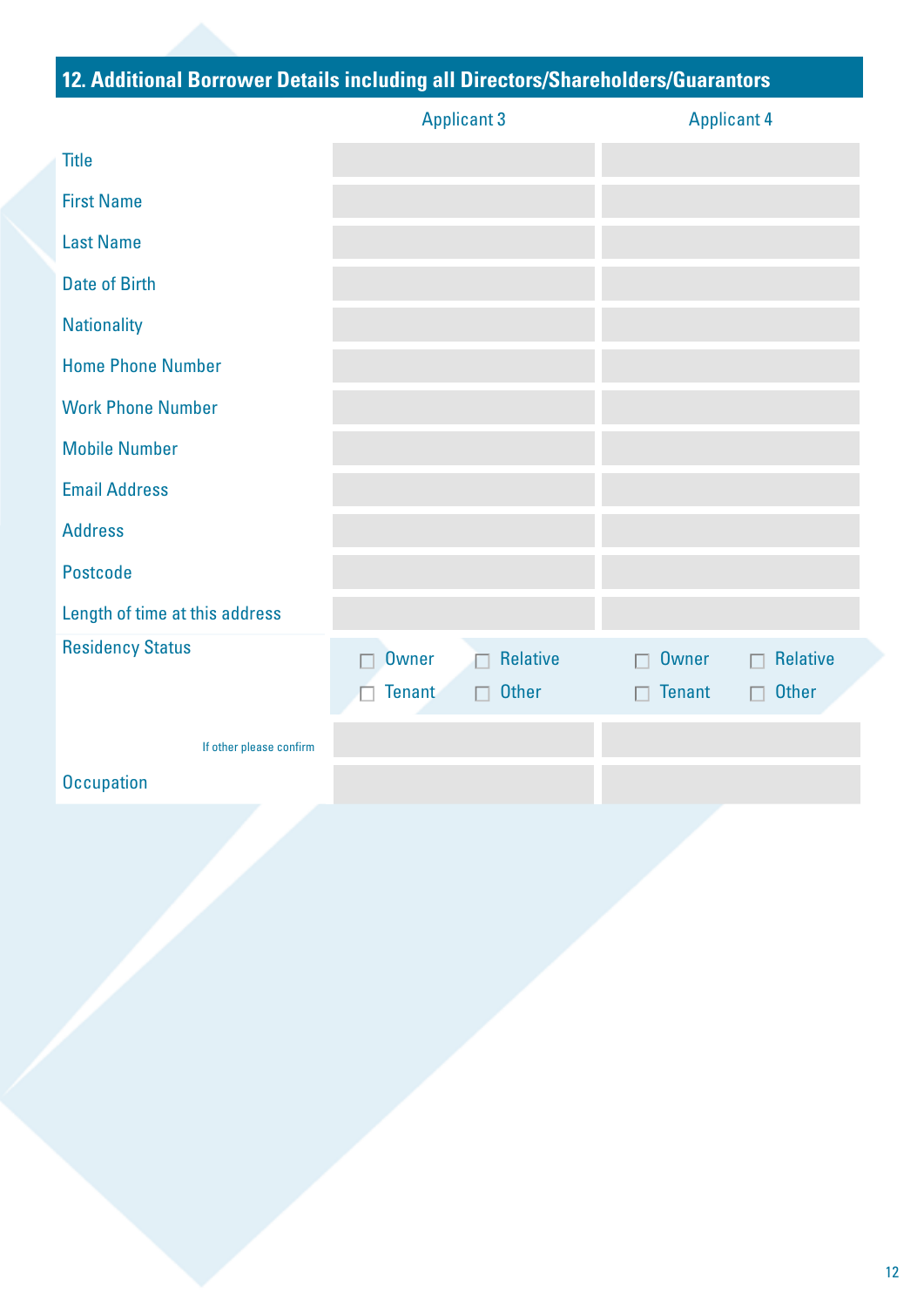## **12. Additional Borrower Details including all Directors/Shareholders/Guarantors**

|                                | <b>Applicant 3</b>              | <b>Applicant 4</b>                 |  |
|--------------------------------|---------------------------------|------------------------------------|--|
| <b>Title</b>                   |                                 |                                    |  |
| <b>First Name</b>              |                                 |                                    |  |
| <b>Last Name</b>               |                                 |                                    |  |
| <b>Date of Birth</b>           |                                 |                                    |  |
| <b>Nationality</b>             |                                 |                                    |  |
| <b>Home Phone Number</b>       |                                 |                                    |  |
| <b>Work Phone Number</b>       |                                 |                                    |  |
| <b>Mobile Number</b>           |                                 |                                    |  |
| <b>Email Address</b>           |                                 |                                    |  |
| <b>Address</b>                 |                                 |                                    |  |
| Postcode                       |                                 |                                    |  |
| Length of time at this address |                                 |                                    |  |
| <b>Residency Status</b>        | <b>Relative</b><br><b>Owner</b> | <b>Relative</b><br><b>Owner</b>    |  |
|                                | Tenant<br><b>Other</b><br>П     | <b>Tenant</b><br><b>Other</b><br>П |  |
| If other please confirm        |                                 |                                    |  |
| <b>Occupation</b>              |                                 |                                    |  |
|                                |                                 |                                    |  |
|                                |                                 |                                    |  |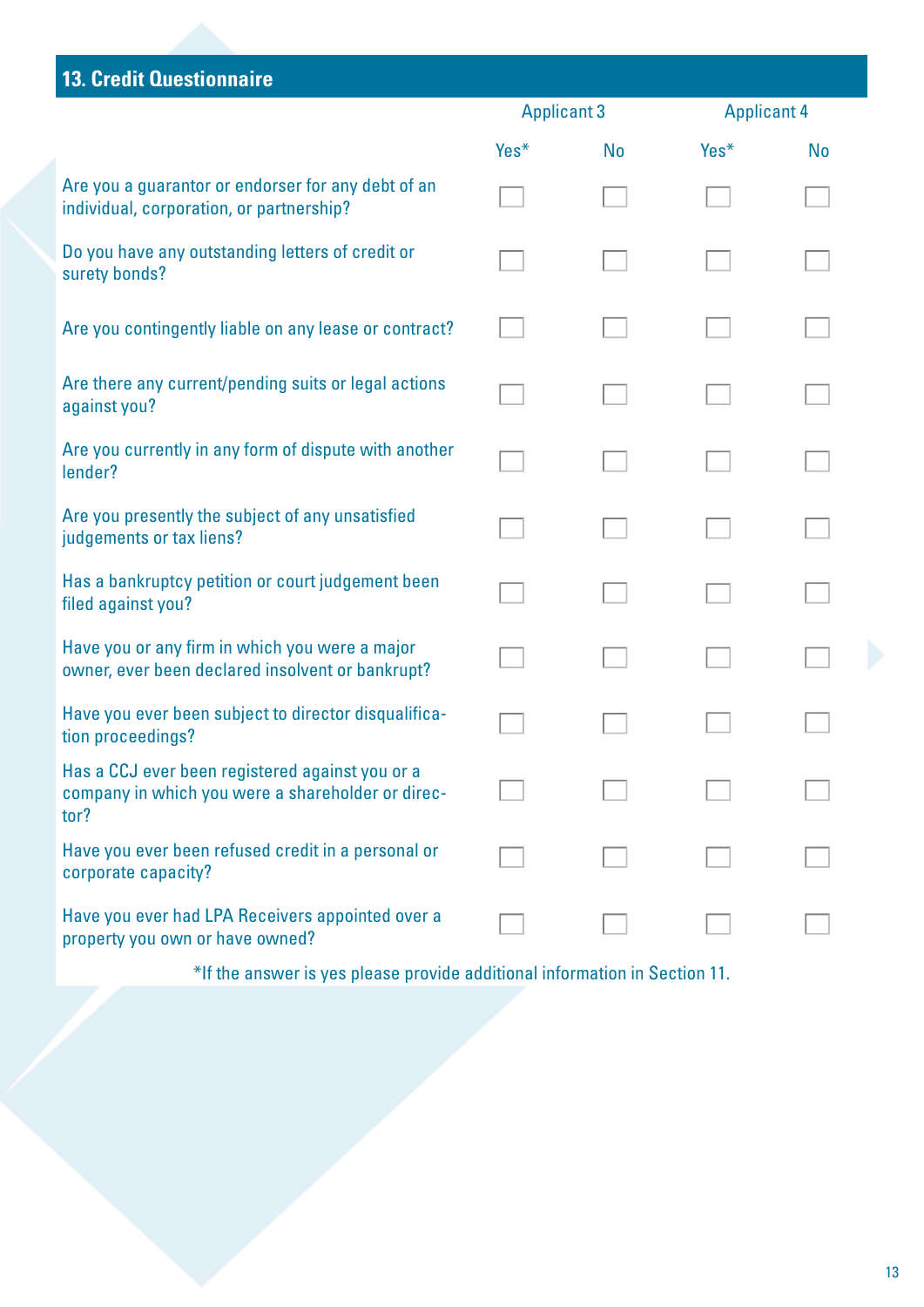## **13. Credit Questionnaire**

|                                                                                                              | <b>Applicant 3</b> |           | <b>Applicant 4</b> |           |  |
|--------------------------------------------------------------------------------------------------------------|--------------------|-----------|--------------------|-----------|--|
|                                                                                                              | Yes*               | <b>No</b> | Yes*               | <b>No</b> |  |
| Are you a guarantor or endorser for any debt of an<br>individual, corporation, or partnership?               |                    |           |                    |           |  |
| Do you have any outstanding letters of credit or<br>surety bonds?                                            |                    |           |                    |           |  |
| Are you contingently liable on any lease or contract?                                                        |                    |           |                    |           |  |
| Are there any current/pending suits or legal actions<br>against you?                                         |                    |           |                    |           |  |
| Are you currently in any form of dispute with another<br>lender?                                             |                    |           |                    |           |  |
| Are you presently the subject of any unsatisfied<br>judgements or tax liens?                                 |                    |           |                    |           |  |
| Has a bankruptcy petition or court judgement been<br>filed against you?                                      |                    |           |                    |           |  |
| Have you or any firm in which you were a major<br>owner, ever been declared insolvent or bankrupt?           |                    |           |                    |           |  |
| Have you ever been subject to director disqualifica-<br>tion proceedings?                                    |                    |           |                    |           |  |
| Has a CCJ ever been registered against you or a<br>company in which you were a shareholder or direc-<br>tor? |                    |           |                    |           |  |
| Have you ever been refused credit in a personal or<br>corporate capacity?                                    |                    |           |                    |           |  |
| Have you ever had LPA Receivers appointed over a<br>property you own or have owned?                          |                    |           |                    |           |  |

\*If the answer is yes please provide additional information in Section 11.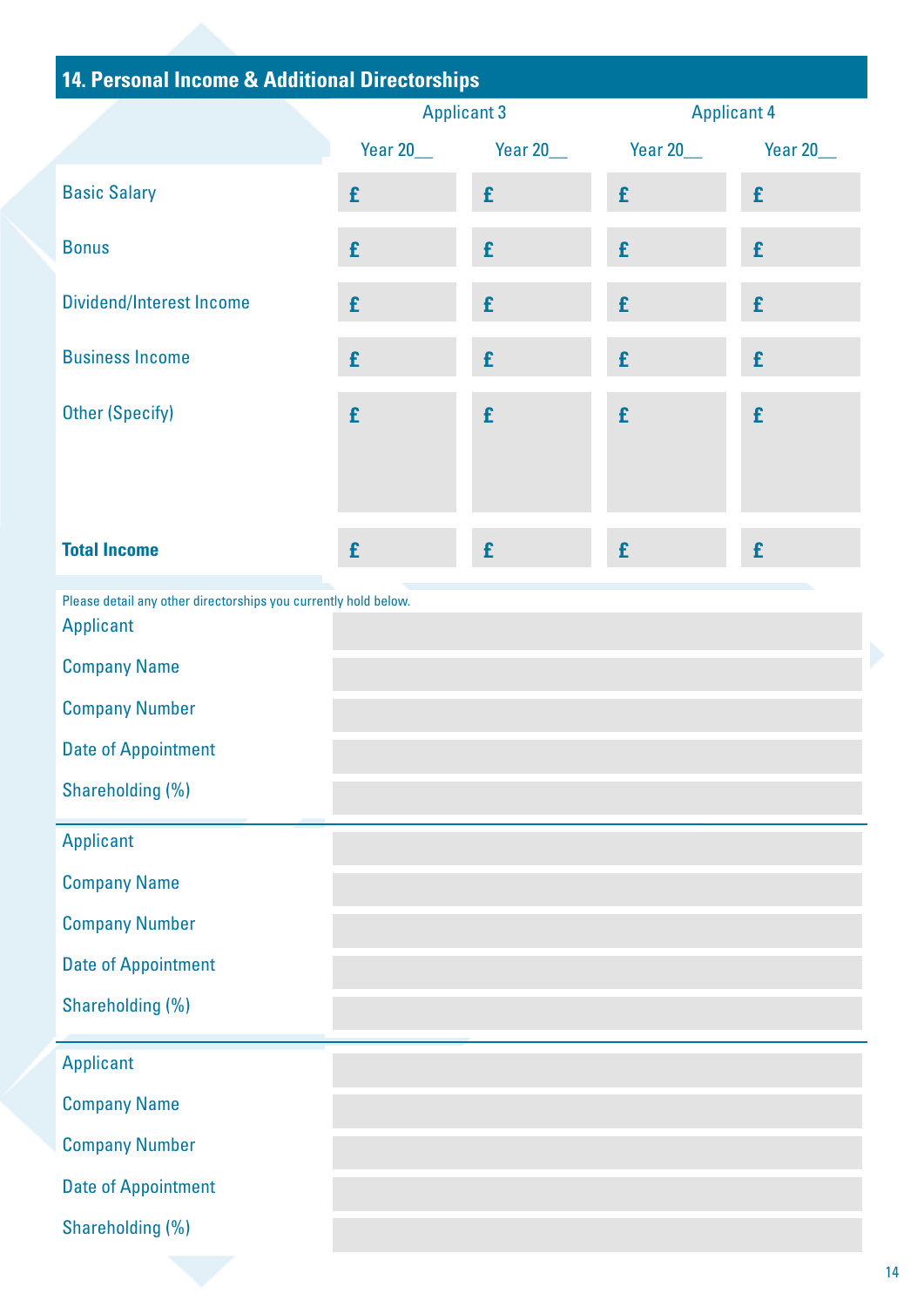| 14. Personal Income & Additional Directorships                                      |                    |                   |                    |                  |  |
|-------------------------------------------------------------------------------------|--------------------|-------------------|--------------------|------------------|--|
|                                                                                     | <b>Applicant 3</b> |                   | <b>Applicant 4</b> |                  |  |
|                                                                                     | <b>Year 20___</b>  | <b>Year 20___</b> | Year 20___         | <b>Year 20__</b> |  |
| <b>Basic Salary</b>                                                                 | £                  | £                 | £                  | £                |  |
| <b>Bonus</b>                                                                        | £                  | £                 | £                  | £                |  |
| <b>Dividend/Interest Income</b>                                                     | £                  | £                 | £                  | £                |  |
| <b>Business Income</b>                                                              | £                  | £                 | £                  | £                |  |
| <b>Other (Specify)</b>                                                              | £                  | £                 | £                  | £                |  |
| <b>Total Income</b>                                                                 | £                  | £                 | £                  | £                |  |
| Please detail any other directorships you currently hold below.<br><b>Applicant</b> |                    |                   |                    |                  |  |
| <b>Company Name</b>                                                                 |                    |                   |                    |                  |  |
| <b>Company Number</b>                                                               |                    |                   |                    |                  |  |
| <b>Date of Appointment</b>                                                          |                    |                   |                    |                  |  |
| Shareholding (%)                                                                    |                    |                   |                    |                  |  |
| <b>Applicant</b>                                                                    |                    |                   |                    |                  |  |
| <b>Company Name</b>                                                                 |                    |                   |                    |                  |  |
| <b>Company Number</b>                                                               |                    |                   |                    |                  |  |
| <b>Date of Appointment</b>                                                          |                    |                   |                    |                  |  |
| Shareholding (%)                                                                    |                    |                   |                    |                  |  |
| <b>Applicant</b>                                                                    |                    |                   |                    |                  |  |
| <b>Company Name</b>                                                                 |                    |                   |                    |                  |  |
| <b>Company Number</b>                                                               |                    |                   |                    |                  |  |
| <b>Date of Appointment</b>                                                          |                    |                   |                    |                  |  |
| Shareholding (%)                                                                    |                    |                   |                    |                  |  |